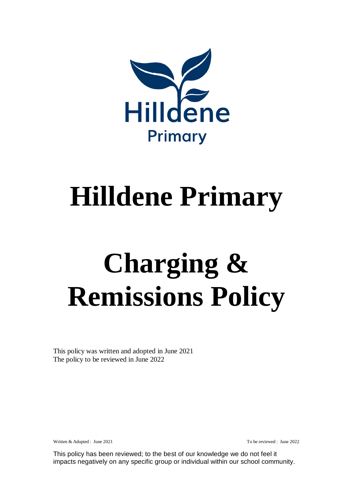

# **Hilldene Primary**

# **Charging & Remissions Policy**

This policy was written and adopted in June 2021 The policy to be reviewed in June 2022

Written & Adopted : June 2021 **To be reviewed : June 2022**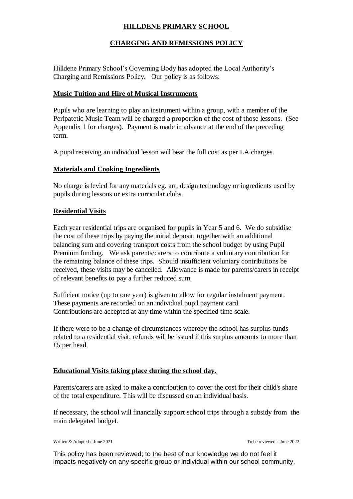# **HILLDENE PRIMARY SCHOOL**

# **CHARGING AND REMISSIONS POLICY**

Hilldene Primary School's Governing Body has adopted the Local Authority's Charging and Remissions Policy. Our policy is as follows:

#### **Music Tuition and Hire of Musical Instruments**

Pupils who are learning to play an instrument within a group, with a member of the Peripatetic Music Team will be charged a proportion of the cost of those lessons. (See Appendix 1 for charges). Payment is made in advance at the end of the preceding term.

A pupil receiving an individual lesson will bear the full cost as per LA charges.

#### **Materials and Cooking Ingredients**

No charge is levied for any materials eg. art, design technology or ingredients used by pupils during lessons or extra curricular clubs.

#### **Residential Visits**

Each year residential trips are organised for pupils in Year 5 and 6. We do subsidise the cost of these trips by paying the initial deposit, together with an additional balancing sum and covering transport costs from the school budget by using Pupil Premium funding. We ask parents/carers to contribute a voluntary contribution for the remaining balance of these trips. Should insufficient voluntary contributions be received, these visits may be cancelled. Allowance is made for parents/carers in receipt of relevant benefits to pay a further reduced sum.

Sufficient notice (up to one year) is given to allow for regular instalment payment. These payments are recorded on an individual pupil payment card. Contributions are accepted at any time within the specified time scale.

If there were to be a change of circumstances whereby the school has surplus funds related to a residential visit, refunds will be issued if this surplus amounts to more than £5 per head.

#### **Educational Visits taking place during the school day.**

Parents/carers are asked to make a contribution to cover the cost for their child's share of the total expenditure. This will be discussed on an individual basis.

If necessary, the school will financially support school trips through a subsidy from the main delegated budget.

Written & Adopted : June 2021 To be reviewed : June 2022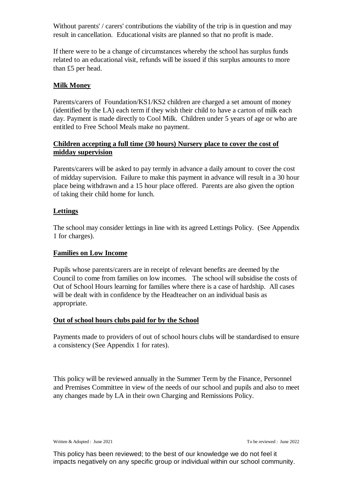Without parents' / carers' contributions the viability of the trip is in question and may result in cancellation. Educational visits are planned so that no profit is made.

If there were to be a change of circumstances whereby the school has surplus funds related to an educational visit, refunds will be issued if this surplus amounts to more than £5 per head.

# **Milk Money**

Parents/carers of Foundation/KS1/KS2 children are charged a set amount of money (identified by the LA) each term if they wish their child to have a carton of milk each day. Payment is made directly to Cool Milk. Children under 5 years of age or who are entitled to Free School Meals make no payment.

# **Children accepting a full time (30 hours) Nursery place to cover the cost of midday supervision**

Parents/carers will be asked to pay termly in advance a daily amount to cover the cost of midday supervision. Failure to make this payment in advance will result in a 30 hour place being withdrawn and a 15 hour place offered. Parents are also given the option of taking their child home for lunch.

# **Lettings**

The school may consider lettings in line with its agreed Lettings Policy. (See Appendix 1 for charges).

#### **Families on Low Income**

Pupils whose parents/carers are in receipt of relevant benefits are deemed by the Council to come from families on low incomes. The school will subsidise the costs of Out of School Hours learning for families where there is a case of hardship. All cases will be dealt with in confidence by the Headteacher on an individual basis as appropriate.

# **Out of school hours clubs paid for by the School**

Payments made to providers of out of school hours clubs will be standardised to ensure a consistency (See Appendix 1 for rates).

This policy will be reviewed annually in the Summer Term by the Finance, Personnel and Premises Committee in view of the needs of our school and pupils and also to meet any changes made by LA in their own Charging and Remissions Policy.

Written & Adopted : June 2021 **To be reviewed : June 2022**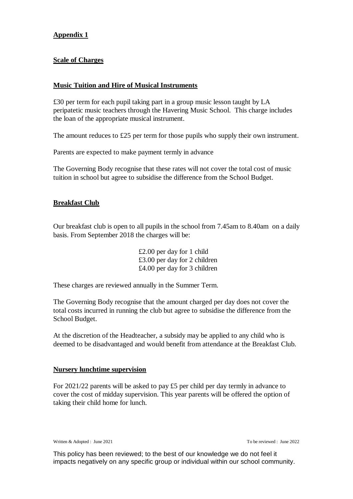# **Appendix 1**

# **Scale of Charges**

#### **Music Tuition and Hire of Musical Instruments**

£30 per term for each pupil taking part in a group music lesson taught by LA peripatetic music teachers through the Havering Music School. This charge includes the loan of the appropriate musical instrument.

The amount reduces to £25 per term for those pupils who supply their own instrument.

Parents are expected to make payment termly in advance

The Governing Body recognise that these rates will not cover the total cost of music tuition in school but agree to subsidise the difference from the School Budget.

#### **Breakfast Club**

Our breakfast club is open to all pupils in the school from 7.45am to 8.40am on a daily basis. From September 2018 the charges will be:

> £2.00 per day for 1 child £3.00 per day for 2 children £4.00 per day for 3 children

These charges are reviewed annually in the Summer Term.

The Governing Body recognise that the amount charged per day does not cover the total costs incurred in running the club but agree to subsidise the difference from the School Budget.

At the discretion of the Headteacher, a subsidy may be applied to any child who is deemed to be disadvantaged and would benefit from attendance at the Breakfast Club.

#### **Nursery lunchtime supervision**

For 2021/22 parents will be asked to pay £5 per child per day termly in advance to cover the cost of midday supervision. This year parents will be offered the option of taking their child home for lunch.